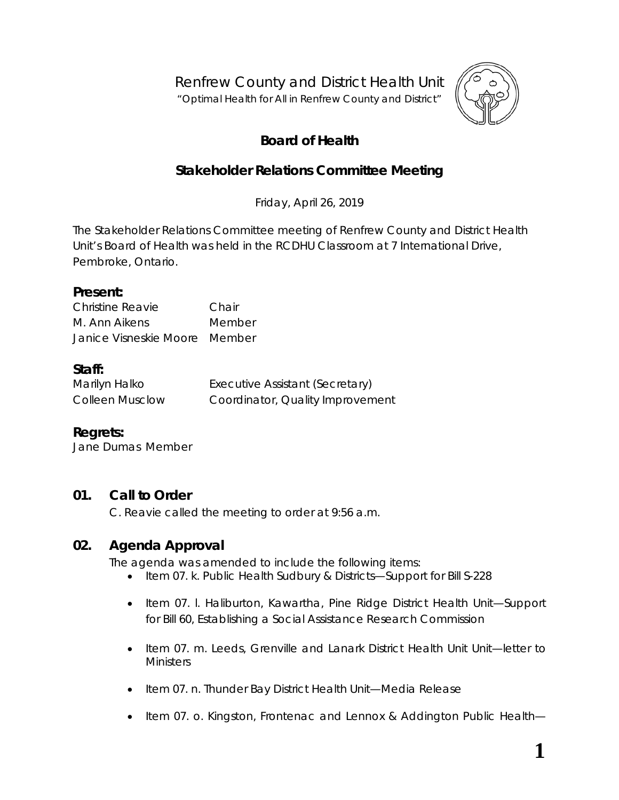Renfrew County and District Health Unit

"*Optimal Health for All in Renfrew County and District"*



# **Board of Health**

# **Stakeholder Relations Committee Meeting**

Friday, April 26, 2019

The Stakeholder Relations Committee meeting of Renfrew County and District Health Unit's Board of Health was held in the RCDHU Classroom at 7 International Drive, Pembroke, Ontario.

#### **Present:**

| Christine Reavie              | Chair  |  |  |
|-------------------------------|--------|--|--|
| M. Ann Aikens                 | Member |  |  |
| Janice Visneskie Moore Member |        |  |  |

### **Staff:**

| Marilyn Halko          | Executive Assistant (Secretary)  |
|------------------------|----------------------------------|
| <b>Colleen Musclow</b> | Coordinator, Quality Improvement |

## **Regrets:**

Jane Dumas Member

## **01. Call to Order**

C. Reavie called the meeting to order at 9:56 a.m.

## **02. Agenda Approval**

The agenda was amended to include the following items:

- Item 07. k. Public Health Sudbury & Districts—Support for Bill S-228
- Item 07. l. Haliburton, Kawartha, Pine Ridge District Health Unit[—Support](http://portal.rcdhu.com/board/wp-content/uploads/2019/04/Letter-of-Support-for-BIll-60_2.pdf) [for Bill 60,](http://portal.rcdhu.com/board/wp-content/uploads/2019/04/Letter-of-Support-for-BIll-60_2.pdf) Establishing a Social Assistance Research Commission
- Item 07. m. Leeds, Grenville and Lanark District Health Unit Unit—letter to **Ministers**
- Item 07. n. Thunder Bay District Health Unit—Media Release
- Item 07. o. Kingston, Frontenac and Lennox & Addington Public Health-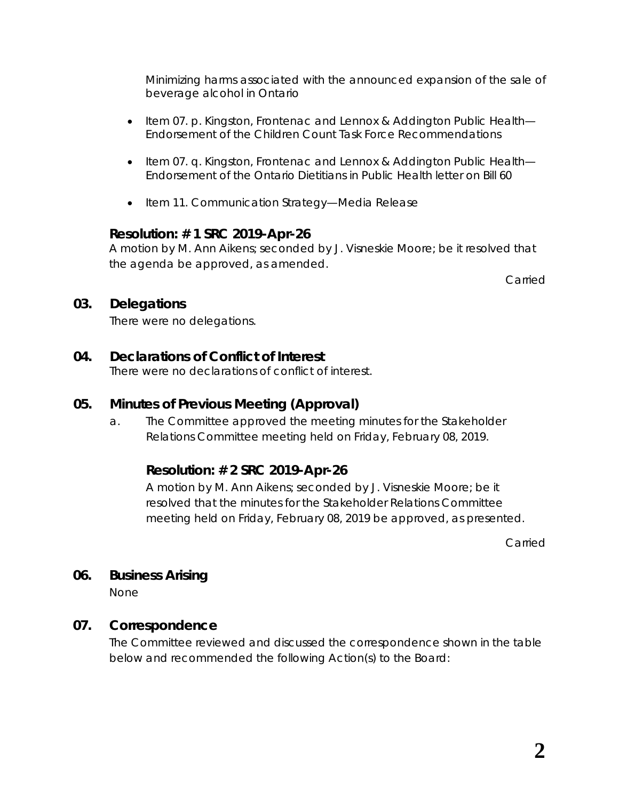Minimizing harms associated with the announced expansion of the sale of beverage alcohol in Ontario

- Item 07. p. Kingston, Frontenac and Lennox & Addington Public Health— Endorsement of the Children Count Task Force Recommendations
- Item 07. q. Kingston, Frontenac and Lennox & Addington Public Health— Endorsement of the Ontario Dietitians in Public Health letter on Bill 60
- Item 11. Communication Strategy—Media Release

### **Resolution: # 1 SRC 2019-Apr-26**

A motion by M. Ann Aikens; seconded by J. Visneskie Moore; be it resolved that the agenda be approved, as amended.

Carried

### **03. Delegations**

There were no delegations.

## **04. Declarations of Conflict of Interest**

There were no declarations of conflict of interest.

## **05. Minutes of Previous Meeting (Approval)**

a. The Committee approved the meeting minutes for the Stakeholder Relations Committee meeting held on Friday, February 08, 2019.

## **Resolution: # 2 SRC 2019-Apr-26**

A motion by M. Ann Aikens; seconded by J. Visneskie Moore; be it resolved that the minutes for the Stakeholder Relations Committee meeting held on Friday, February 08, 2019 be approved, as presented.

Carried

### **06. Business Arising**

None

### **07. Correspondence**

The Committee reviewed and discussed the correspondence shown in the table below and recommended the following *Action*(s) to the Board: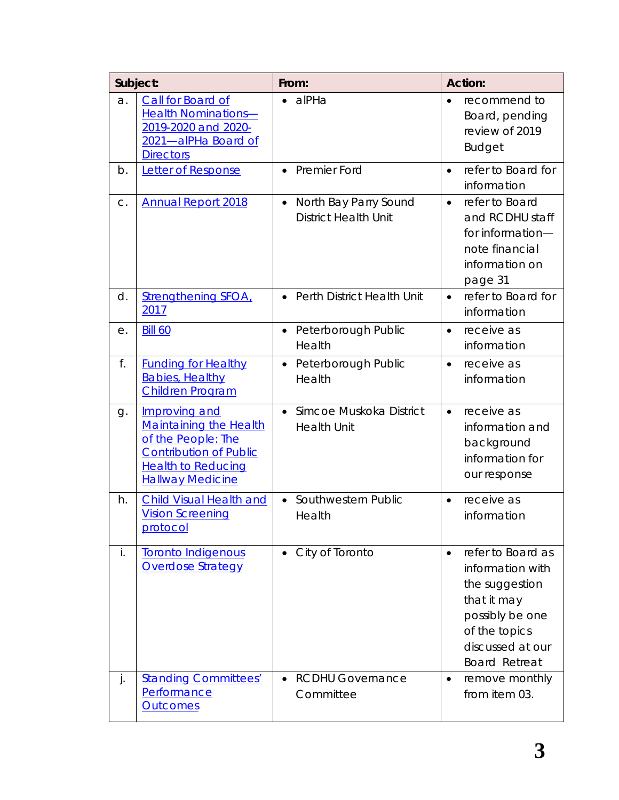| Subject: |                                                                                                                                                               | From:                                                             | <b>Action:</b>                                                                                                                                                      |  |
|----------|---------------------------------------------------------------------------------------------------------------------------------------------------------------|-------------------------------------------------------------------|---------------------------------------------------------------------------------------------------------------------------------------------------------------------|--|
| a.       | Call for Board of<br><b>Health Nominations-</b><br>2019-2020 and 2020-<br>2021-alPHa Board of<br><b>Directors</b>                                             | alPHa                                                             | recommend to<br>$\bullet$<br>Board, pending<br>review of 2019<br><b>Budget</b>                                                                                      |  |
| b.       | Letter of Response                                                                                                                                            | Premier Ford<br>$\bullet$                                         | refer to Board for<br>$\bullet$<br>information                                                                                                                      |  |
| C.       | <b>Annual Report 2018</b>                                                                                                                                     | North Bay Parry Sound<br>$\bullet$<br><b>District Health Unit</b> | refer to Board<br>$\bullet$<br>and RCDHU staff<br>for information-<br>note financial<br>information on<br>page 31                                                   |  |
| d.       | <b>Strengthening SFOA,</b><br>2017                                                                                                                            | Perth District Health Unit<br>$\bullet$                           | refer to Board for<br>$\bullet$<br>information                                                                                                                      |  |
| е.       | <b>Bill 60</b>                                                                                                                                                | Peterborough Public<br>$\bullet$<br>Health                        | receive as<br>$\bullet$<br>information                                                                                                                              |  |
| f.       | <b>Funding for Healthy</b><br><b>Babies, Healthy</b><br><b>Children Program</b>                                                                               | Peterborough Public<br>$\bullet$<br>Health                        | receive as<br>$\bullet$<br>information                                                                                                                              |  |
| g.       | Improving and<br><b>Maintaining the Health</b><br>of the People: The<br><b>Contribution of Public</b><br><b>Health to Reducing</b><br><b>Hallway Medicine</b> | Simcoe Muskoka District<br>$\bullet$<br><b>Health Unit</b>        | receive as<br>$\bullet$<br>information and<br>background<br>information for<br>our response                                                                         |  |
| h.       | <b>Child Visual Health and</b><br><b>Vision Screening</b><br><u>protocol</u>                                                                                  | Southwestern Public<br>$\bullet$<br>Health                        | receive as<br>$\bullet$<br>information                                                                                                                              |  |
| İ.       | <b>Toronto Indigenous</b><br><b>Overdose Strategy</b>                                                                                                         | City of Toronto                                                   | refer to Board as<br>$\bullet$<br>information with<br>the suggestion<br>that it may<br>possibly be one<br>of the topics<br>discussed at our<br><b>Board Retreat</b> |  |
| j.       | <b>Standing Committees'</b><br>Performance<br><b>Outcomes</b>                                                                                                 | <b>RCDHU Governance</b><br>Committee                              | remove monthly<br>$\bullet$<br>from item 03.                                                                                                                        |  |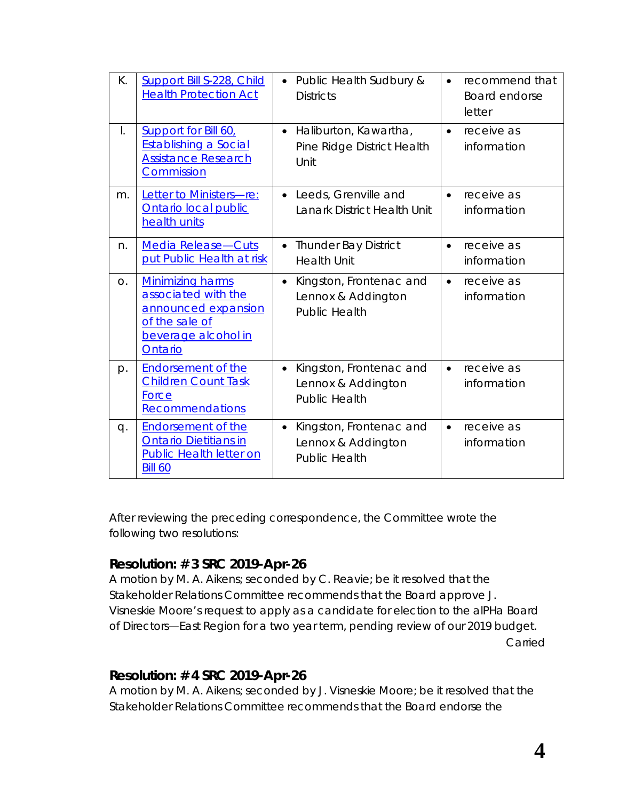| К.             | <b>Support Bill S-228, Child</b><br><b>Health Protection Act</b>                                                          | Public Health Sudbury &<br>$\bullet$<br><b>Districts</b>                           | $\bullet$ | recommend that<br>Board endorse<br>letter |
|----------------|---------------------------------------------------------------------------------------------------------------------------|------------------------------------------------------------------------------------|-----------|-------------------------------------------|
| I.             | Support for Bill 60,<br><b>Establishing a Social</b><br><b>Assistance Research</b><br>Commission                          | Haliburton, Kawartha,<br>$\bullet$<br>Pine Ridge District Health<br>Unit           | $\bullet$ | receive as<br>information                 |
| m.             | Letter to Ministers-re:<br>Ontario local public<br>health units                                                           | Leeds, Grenville and<br>$\bullet$<br>Lanark District Health Unit                   | $\bullet$ | receive as<br>information                 |
| n.             | Media Release-Cuts<br>put Public Health at risk                                                                           | <b>Thunder Bay District</b><br>$\bullet$<br><b>Health Unit</b>                     | $\bullet$ | receive as<br>information                 |
| O <sub>1</sub> | <b>Minimizing harms</b><br>associated with the<br>announced expansion<br>of the sale of<br>beverage alcohol in<br>Ontario | Kingston, Frontenac and<br>$\bullet$<br>Lennox & Addington<br><b>Public Health</b> | $\bullet$ | receive as<br>information                 |
| p.             | <b>Endorsement of the</b><br><b>Children Count Task</b><br>Force<br>Recommendations                                       | Kingston, Frontenac and<br>$\bullet$<br>Lennox & Addington<br><b>Public Health</b> | $\bullet$ | receive as<br>information                 |
| q.             | <b>Endorsement of the</b><br><b>Ontario Dietitians in</b><br><b>Public Health letter on</b><br><b>Bill 60</b>             | Kingston, Frontenac and<br>$\bullet$<br>Lennox & Addington<br><b>Public Health</b> | $\bullet$ | receive as<br>information                 |

After reviewing the preceding correspondence, the Committee wrote the following two resolutions:

### **Resolution: # 3 SRC 2019-Apr-26**

A motion by M. A. Aikens; seconded by C. Reavie; be it resolved that the Stakeholder Relations Committee recommends that the Board approve J. Visneskie Moore's request to apply as a candidate for election to the alPHa Board of Directors—East Region for a two year term, pending review of our 2019 budget. Carried

### **Resolution: # 4 SRC 2019-Apr-26**

A motion by M. A. Aikens; seconded by J. Visneskie Moore; be it resolved that the Stakeholder Relations Committee recommends that the Board endorse the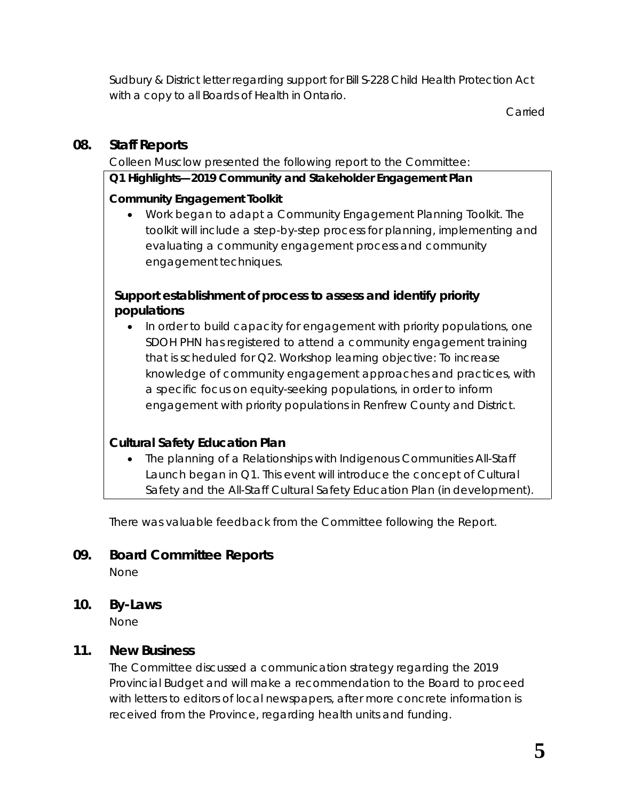Sudbury & District letter regarding support for Bill S-228 Child Health Protection Act with a copy to all Boards of Health in Ontario.

Carried

## **08. Staff Reports**

Colleen Musclow presented the following report to the Committee:

### **Q1 Highlights—2019 Community and Stakeholder Engagement Plan**

## **Community Engagement Toolkit**

• Work began to adapt a Community Engagement Planning Toolkit. The toolkit will include a step-by-step process for planning, implementing and evaluating a community engagement process and community engagement techniques.

## **Support establishment of process to assess and identify priority populations**

• In order to build capacity for engagement with priority populations, one SDOH PHN has registered to attend a community engagement training that is scheduled for Q2. Workshop learning objective: To increase knowledge of community engagement approaches and practices, with a specific focus on equity-seeking populations, in order to inform engagement with priority populations in Renfrew County and District.

## **Cultural Safety Education Plan**

• The planning of a Relationships with Indigenous Communities All-Staff Launch began in Q1. This event will introduce the concept of Cultural Safety and the All-Staff Cultural Safety Education Plan (in development).

There was valuable feedback from the Committee following the Report.

## **09. Board Committee Reports**

None

**10. By-Laws**

None

## **11. New Business**

The Committee discussed a communication strategy regarding the 2019 Provincial Budget and will make a recommendation to the Board to proceed with letters to editors of local newspapers, after more concrete information is received from the Province, regarding health units and funding.